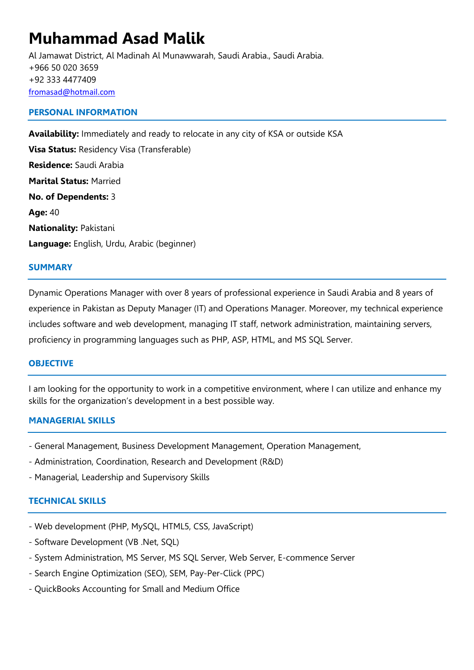# **Muhammad Asad Malik**

Al Jamawat District, Al Madinah Al Munawwarah, Saudi Arabia., Saudi Arabia. +966 50 020 3659 +92 333 4477409 [fromasad@hotmail.com](mailto:fromasad@hotmail.com)

#### **PERSONAL INFORMATION**

**Availability:** Immediately and ready to relocate in any city of KSA or outside KSA **Visa Status:** Residency Visa (Transferable) **Residence:** Saudi Arabia **Marital Status:** Married **No. of Dependents:** 3 **Age:** 40 **Nationality:** Pakistani **Language:** English, Urdu, Arabic (beginner)

#### **SUMMARY**

Dynamic Operations Manager with over 8 years of professional experience in Saudi Arabia and 8 years of experience in Pakistan as Deputy Manager (IT) and Operations Manager. Moreover, my technical experience includes software and web development, managing IT staff, network administration, maintaining servers, proficiency in programming languages such as PHP, ASP, HTML, and MS SQL Server.

#### **OBJECTIVE**

I am looking for the opportunity to work in a competitive environment, where I can utilize and enhance my skills for the organization's development in a best possible way.

#### **MANAGERIAL SKILLS**

- General Management, Business Development Management, Operation Management,
- Administration, Coordination, Research and Development (R&D)
- Managerial, Leadership and Supervisory Skills

#### **TECHNICAL SKILLS**

- Web development (PHP, MySQL, HTML5, CSS, JavaScript)
- Software Development (VB .Net, SQL)
- System Administration, MS Server, MS SQL Server, Web Server, E-commence Server
- Search Engine Optimization (SEO), SEM, Pay-Per-Click (PPC)
- QuickBooks Accounting for Small and Medium Office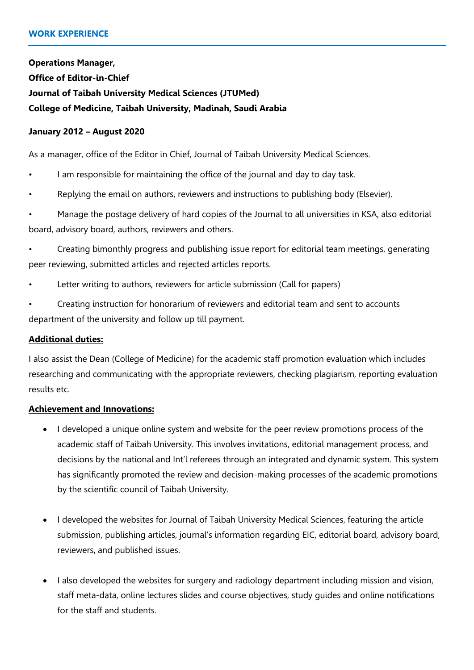**Operations Manager, Office of Editor-in-Chief Journal of Taibah University Medical Sciences (JTUMed) College of Medicine, Taibah University, Madinah, Saudi Arabia**

#### **January 2012 – August 2020**

As a manager, office of the Editor in Chief, Journal of Taibah University Medical Sciences.

- I am responsible for maintaining the office of the journal and day to day task.
- Replying the email on authors, reviewers and instructions to publishing body (Elsevier).

• Manage the postage delivery of hard copies of the Journal to all universities in KSA, also editorial board, advisory board, authors, reviewers and others.

- Creating bimonthly progress and publishing issue report for editorial team meetings, generating peer reviewing, submitted articles and rejected articles reports.
- Letter writing to authors, reviewers for article submission (Call for papers)
- Creating instruction for honorarium of reviewers and editorial team and sent to accounts department of the university and follow up till payment.

#### **Additional duties:**

I also assist the Dean (College of Medicine) for the academic staff promotion evaluation which includes researching and communicating with the appropriate reviewers, checking plagiarism, reporting evaluation results etc.

#### **Achievement and Innovations:**

- I developed a unique online system and website for the peer review promotions process of the academic staff of Taibah University. This involves invitations, editorial management process, and decisions by the national and Int'l referees through an integrated and dynamic system. This system has significantly promoted the review and decision-making processes of the academic promotions by the scientific council of Taibah University.
- I developed the websites for Journal of Taibah University Medical Sciences, featuring the article submission, publishing articles, journal's information regarding EIC, editorial board, advisory board, reviewers, and published issues.
- I also developed the websites for surgery and radiology department including mission and vision, staff meta-data, online lectures slides and course objectives, study guides and online notifications for the staff and students.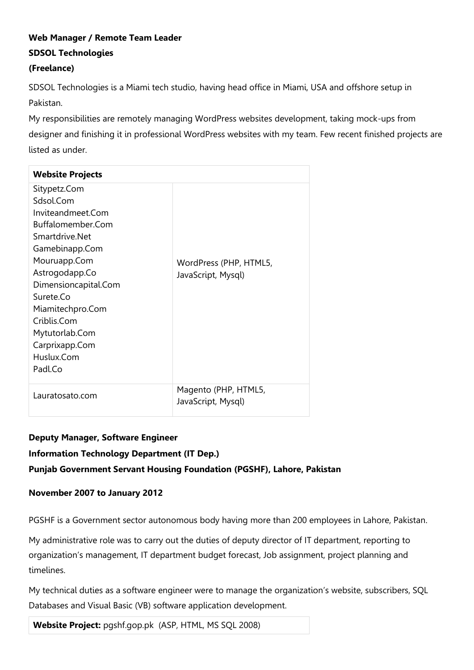# **Web Manager / Remote Team Leader SDSOL Technologies**

#### **(Freelance)**

SDSOL Technologies is a Miami tech studio, having head office in Miami, USA and offshore setup in Pakistan.

My responsibilities are remotely managing WordPress websites development, taking mock-ups from designer and finishing it in professional WordPress websites with my team. Few recent finished projects are listed as under.

| <b>Website Projects</b> |                        |
|-------------------------|------------------------|
| Sitypetz.Com            |                        |
| Sdsol.Com               |                        |
| Inviteandmeet.Com       |                        |
| Buffalomember.Com       |                        |
| Smartdrive.Net          |                        |
| Gamebinapp.Com          |                        |
| Mouruapp.Com            | WordPress (PHP, HTML5, |
| Astrogodapp.Co          | JavaScript, Mysql)     |
| Dimensioncapital.Com    |                        |
| Surete.Co               |                        |
| Miamitechpro.Com        |                        |
| Criblis.Com             |                        |
| Mytutorlab.Com          |                        |
| Carprixapp.Com          |                        |
| Huslux.Com              |                        |
| Padl.Co                 |                        |
|                         |                        |
| Lauratosato.com         | Magento (PHP, HTML5,   |
|                         | JavaScript, Mysql)     |

# **Deputy Manager, Software Engineer Information Technology Department (IT Dep.) Punjab Government Servant Housing Foundation (PGSHF), Lahore, Pakistan**

## **November 2007 to January 2012**

PGSHF is a Government sector autonomous body having more than 200 employees in Lahore, Pakistan.

My administrative role was to carry out the duties of deputy director of IT department, reporting to organization's management, IT department budget forecast, Job assignment, project planning and timelines.

My technical duties as a software engineer were to manage the organization's website, subscribers, SQL Databases and Visual Basic (VB) software application development.

**Website Project:** pgshf.gop.pk (ASP, HTML, MS SQL 2008)